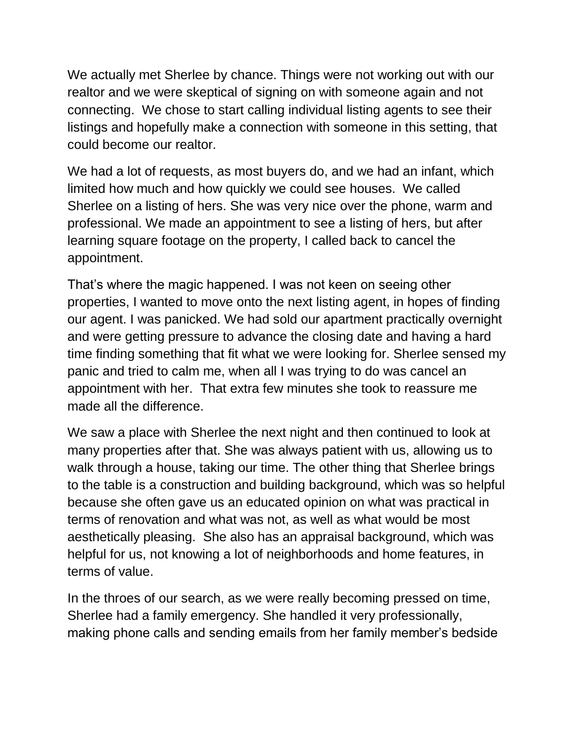We actually met Sherlee by chance. Things were not working out with our realtor and we were skeptical of signing on with someone again and not connecting. We chose to start calling individual listing agents to see their listings and hopefully make a connection with someone in this setting, that could become our realtor.

We had a lot of requests, as most buyers do, and we had an infant, which limited how much and how quickly we could see houses. We called Sherlee on a listing of hers. She was very nice over the phone, warm and professional. We made an appointment to see a listing of hers, but after learning square footage on the property, I called back to cancel the appointment.

That's where the magic happened. I was not keen on seeing other properties, I wanted to move onto the next listing agent, in hopes of finding our agent. I was panicked. We had sold our apartment practically overnight and were getting pressure to advance the closing date and having a hard time finding something that fit what we were looking for. Sherlee sensed my panic and tried to calm me, when all I was trying to do was cancel an appointment with her. That extra few minutes she took to reassure me made all the difference.

We saw a place with Sherlee the next night and then continued to look at many properties after that. She was always patient with us, allowing us to walk through a house, taking our time. The other thing that Sherlee brings to the table is a construction and building background, which was so helpful because she often gave us an educated opinion on what was practical in terms of renovation and what was not, as well as what would be most aesthetically pleasing. She also has an appraisal background, which was helpful for us, not knowing a lot of neighborhoods and home features, in terms of value.

In the throes of our search, as we were really becoming pressed on time, Sherlee had a family emergency. She handled it very professionally, making phone calls and sending emails from her family member's bedside